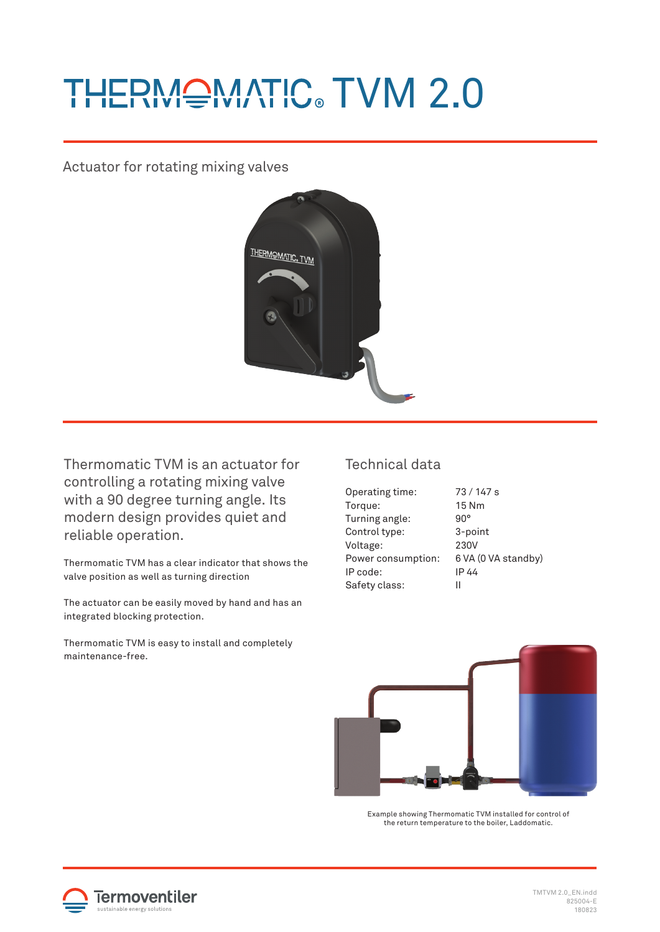# THERMQMATIC TVM 2.0

Actuator for rotating mixing valves



Thermomatic TVM is an actuator for controlling a rotating mixing valve with a 90 degree turning angle. Its modern design provides quiet and reliable operation.

Thermomatic TVM has a clear indicator that shows the valve position as well as turning direction

The actuator can be easily moved by hand and has an integrated blocking protection.

Thermomatic TVM is easy to install and completely maintenance-free.

## Technical data

| Operating time:    | 73/147 s            |
|--------------------|---------------------|
| Torque:            | 15 Nm               |
| Turning angle:     | $90^\circ$          |
| Control type:      | 3-point             |
| Voltage:           | 230V                |
| Power consumption: | 6 VA (0 VA standby) |
| IP code:           | IP 44               |
| Safety class:      | н                   |
|                    |                     |



Example showing Thermomatic TVM installed for control of the return temperature to the boiler, Laddomatic.